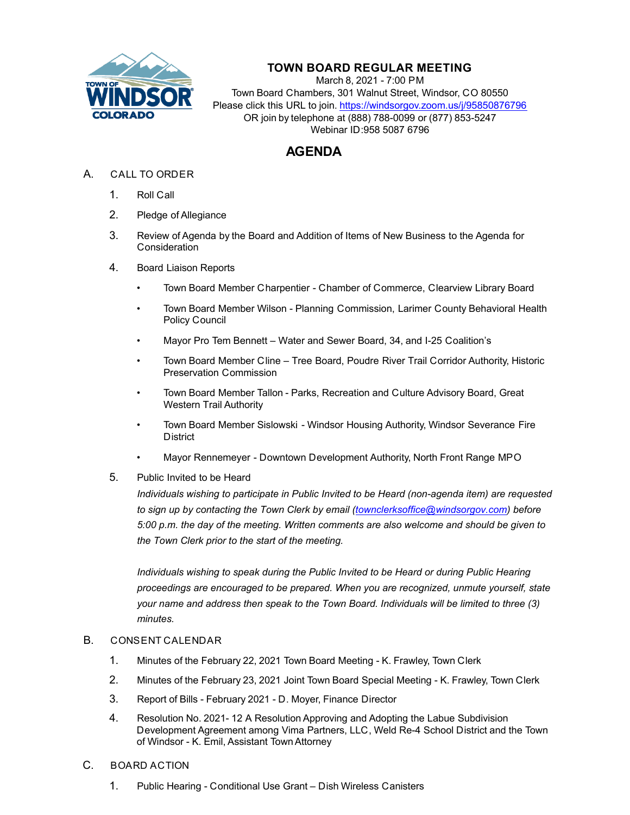

# **TOWN BOARD REGULAR MEETING**

March 8, 2021 - 7:00 PM Town Board Chambers, 301 Walnut Street, Windsor, CO 80550 Please click this URL to join. https://windsorgov.zoom.us/j/95850876796 OR join by telephone at (888) 788-0099 or (877) 853-5247 Webinar ID:958 5087 6796

# **AGENDA**

- A. CALL TO ORDER
	- 1. Roll Call
	- 2. Pledge of Allegiance
	- 3. Review of Agenda by the Board and Addition of Items of New Business to the Agenda for **Consideration**
	- 4. Board Liaison Reports
		- Town Board Member Charpentier Chamber of Commerce, Clearview Library Board
		- Town Board Member Wilson Planning Commission, Larimer County Behavioral Health Policy Council
		- Mayor Pro Tem Bennett Water and Sewer Board, 34, and I-25 Coalition's
		- Town Board Member Cline Tree Board, Poudre River Trail Corridor Authority, Historic Preservation Commission
		- Town Board Member Tallon Parks, Recreation and Culture Advisory Board, Great Western Trail Authority
		- Town Board Member Sislowski Windsor Housing Authority, Windsor Severance Fire District
		- Mayor Rennemeyer Downtown Development Authority, North Front Range MPO
	- 5. Public Invited to be Heard

*Individuals wishing to participate in Public Invited to be Heard (non-agenda item) are requested to sign up by contacting the Town Clerk by email (townclerksoffice@windsorgov.com) before 5:00 p.m. the day of the meeting. Written comments are also welcome and should be given to the Town Clerk prior to the start of the meeting.*

*Individuals wishing to speak during the Public Invited to be Heard or during Public Hearing proceedings are encouraged to be prepared. When you are recognized, unmute yourself, state your name and address then speak to the Town Board. Individuals will be limited to three (3) minutes.*

## B. CONSENT CALENDAR

- 1. [Minutes of the February 22, 2021 Town Board Meeting K. Frawley, Town Clerk](file:///C:/Windows/TEMP/CoverSheet.aspx?ItemID=1295&MeetingID=224)
- 2. [Minutes of the February 23, 2021 Joint Town Board Special Meeting K. Frawley, Town Clerk](file:///C:/Windows/TEMP/CoverSheet.aspx?ItemID=1302&MeetingID=224)
- 3. [Report of Bills February 2021 D. Moyer, Finance Director](file:///C:/Windows/TEMP/CoverSheet.aspx?ItemID=1292&MeetingID=224)
- 4. Resolution No. 2021- 12 A Resolution Approving and Adopting the Labue Subdivision Development Agreement among Vima Partners, LLC, Weld Re-4 School District and the Town of Windsor - K. Emil, Assistant Town Attorney
- C. BOARD ACTION
	- 1. [Public Hearing Conditional Use Grant Dish Wireless Canisters](file:///C:/Windows/TEMP/CoverSheet.aspx?ItemID=1303&MeetingID=224)